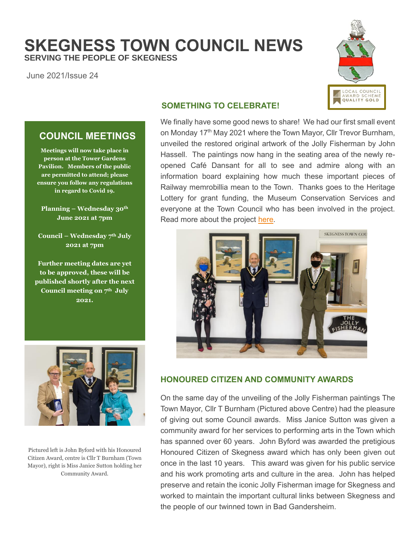# **SKEGNESS TOWN COUNCIL NEWS SERVING THE PEOPLE OF SKEGNESS**

June 2021/Issue 24



#### **SOMETHING TO CELEBRATE!**

We finally have some good news to share! We had our first small event on Monday 17<sup>th</sup> May 2021 where the Town Mayor, Cllr Trevor Burnham, unveiled the restored original artwork of the Jolly Fisherman by John Hassell. The paintings now hang in the seating area of the newly reopened Café Dansant for all to see and admire along with an information board explaining how much these important pieces of Railway memrobillia mean to the Town. Thanks goes to the Heritage Lottery for grant funding, the Museum Conservation Services and everyone at the Town Council who has been involved in the project. Read more about the project [here.](https://www.skegness.gov.uk/uploads/evaluation-report-final.pdf)



## **HONOURED CITIZEN AND COMMUNITY AWARDS**

On the same day of the unveiling of the Jolly Fisherman paintings The Town Mayor, Cllr T Burnham (Pictured above Centre) had the pleasure of giving out some Council awards. Miss Janice Sutton was given a community award for her services to performing arts in the Town which has spanned over 60 years. John Byford was awarded the pretigious Honoured Citizen of Skegness award which has only been given out once in the last 10 years. This award was given for his public service and his work promoting arts and culture in the area. John has helped preserve and retain the iconic Jolly Fisherman image for Skegness and worked to maintain the important cultural links between Skegness and the people of our twinned town in Bad Gandersheim.

### **COUNCIL MEETINGS**

**Meetings will now take place in person at the Tower Gardens Pavilion. Members of the public are permitted to attend; please ensure you follow any regulations in regard to Covid 19.**

**Planning – Wednesday 30th June 2021 at 7pm**

**Council – Wednesday 7 th July 2021 at 7pm**

**Further meeting dates are yet to be approved, these will be published shortly after the next Council meeting on 7th July 2021.**



Pictured left is John Byford with his Honoured Citizen Award, centre is Cllr T Burnham (Town Mayor), right is Miss Janice Sutton holding her Community Award.